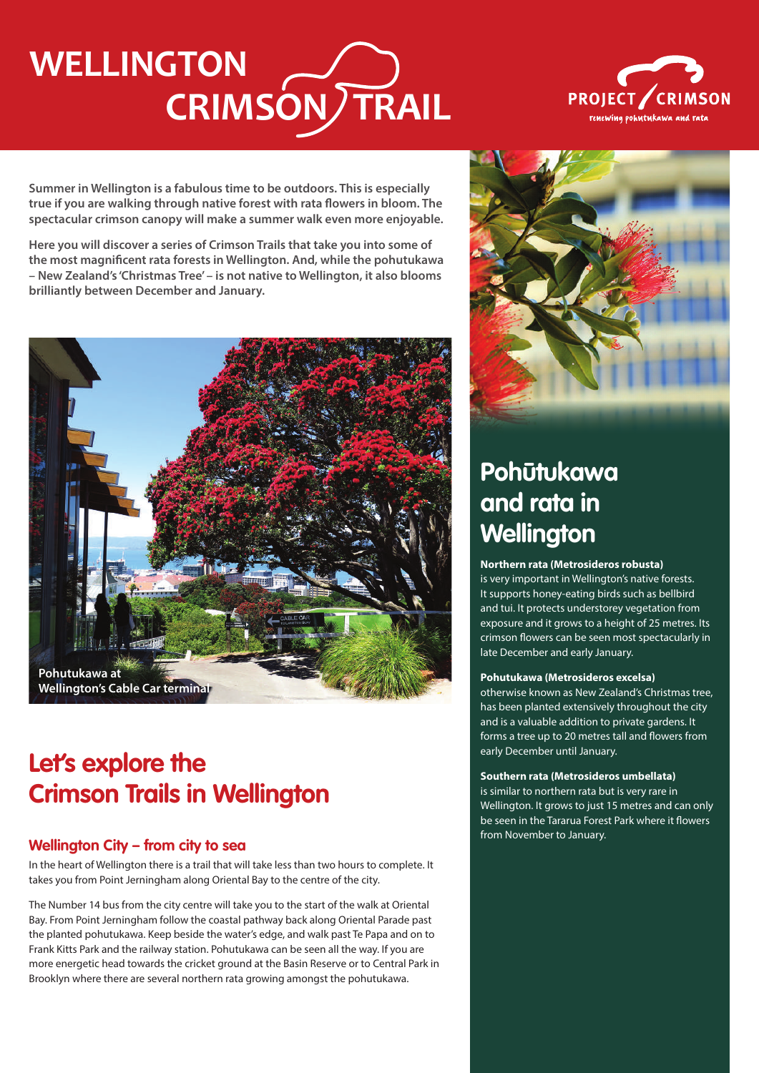# **CRIMSON TRAIL WELLINGTON**



**Summer in Wellington is a fabulous time to be outdoors. This is especially true if you are walking through native forest with rata flowers in bloom. The spectacular crimson canopy will make a summer walk even more enjoyable.**

**Here you will discover a series of Crimson Trails that take you into some of the most magnificent rata forests in Wellington. And, while the pohutukawa – New Zealand's 'Christmas Tree' – is not native to Wellington, it also blooms brilliantly between December and January.**



# **Let's explore the Crimson Trails in Wellington**

### **Wellington City – from city to sea**

In the heart of Wellington there is a trail that will take less than two hours to complete. It takes you from Point Jerningham along Oriental Bay to the centre of the city.

The Number 14 bus from the city centre will take you to the start of the walk at Oriental Bay. From Point Jerningham follow the coastal pathway back along Oriental Parade past the planted pohutukawa. Keep beside the water's edge, and walk past Te Papa and on to Frank Kitts Park and the railway station. Pohutukawa can be seen all the way. If you are more energetic head towards the cricket ground at the Basin Reserve or to Central Park in Brooklyn where there are several northern rata growing amongst the pohutukawa.



# **Pohūtukawa and rata in Wellington**

#### **Northern rata (Metrosideros robusta)**

is very important in Wellington's native forests. It supports honey-eating birds such as bellbird and tui. It protects understorey vegetation from exposure and it grows to a height of 25 metres. Its crimson flowers can be seen most spectacularly in late December and early January.

#### **Pohutukawa (Metrosideros excelsa)**

otherwise known as New Zealand's Christmas tree, has been planted extensively throughout the city and is a valuable addition to private gardens. It forms a tree up to 20 metres tall and flowers from early December until January.

#### **Southern rata (Metrosideros umbellata)**

is similar to northern rata but is very rare in Wellington. It grows to just 15 metres and can only be seen in the Tararua Forest Park where it flowers from November to January.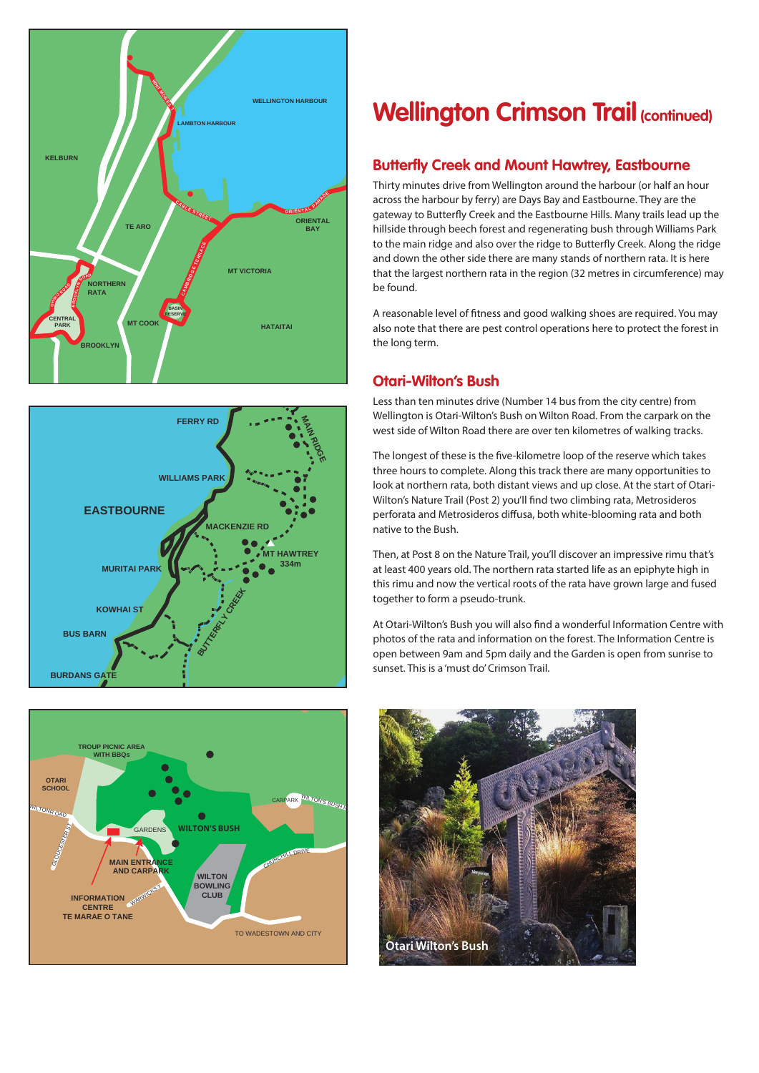





## **Wellington Crimson Trail (continued)**

### **Butterfly Creek and Mount Hawtrey, Eastbourne**

Thirty minutes drive from Wellington around the harbour (or half an hour across the harbour by ferry) are Days Bay and Eastbourne. They are the gateway to Butterfly Creek and the Eastbourne Hills. Many trails lead up the hillside through beech forest and regenerating bush through Williams Park to the main ridge and also over the ridge to Butterfly Creek. Along the ridge and down the other side there are many stands of northern rata. It is here that the largest northern rata in the region (32 metres in circumference) may be found.

A reasonable level of fitness and good walking shoes are required. You may also note that there are pest control operations here to protect the forest in the long term.

### **Otari-Wilton's Bush**

Less than ten minutes drive (Number 14 bus from the city centre) from Wellington is Otari-Wilton's Bush on Wilton Road. From the carpark on the west side of Wilton Road there are over ten kilometres of walking tracks.

The longest of these is the five-kilometre loop of the reserve which takes three hours to complete. Along this track there are many opportunities to look at northern rata, both distant views and up close. At the start of Otari-Wilton's Nature Trail (Post 2) you'll find two climbing rata, Metrosideros perforata and Metrosideros diffusa, both white-blooming rata and both native to the Bush.

Then, at Post 8 on the Nature Trail, you'll discover an impressive rimu that's at least 400 years old. The northern rata started life as an epiphyte high in this rimu and now the vertical roots of the rata have grown large and fused together to form a pseudo-trunk.

At Otari-Wilton's Bush you will also find a wonderful Information Centre with photos of the rata and information on the forest. The Information Centre is open between 9am and 5pm daily and the Garden is open from sunrise to sunset. This is a 'must do' Crimson Trail.